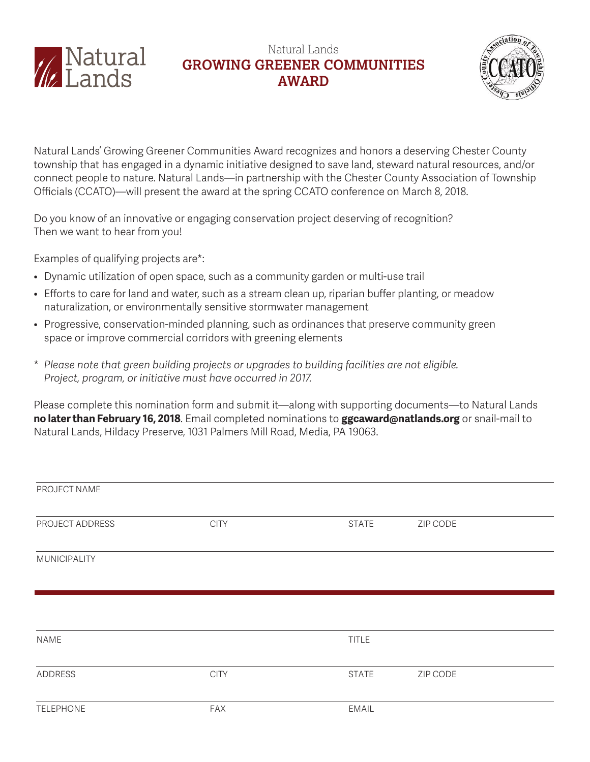

## Natural Lands **GROWING GREENER COMMUNITIES AWARD**



Natural Lands' Growing Greener Communities Award recognizes and honors a deserving Chester County township that has engaged in a dynamic initiative designed to save land, steward natural resources, and/or connect people to nature. Natural Lands—in partnership with the Chester County Association of Township Officials (CCATO)—will present the award at the spring CCATO conference on March 8, 2018.

Do you know of an innovative or engaging conservation project deserving of recognition? Then we want to hear from you!

Examples of qualifying projects are\*:

- Dynamic utilization of open space, such as a community garden or multi-use trail
- Efforts to care for land and water, such as a stream clean up, riparian buffer planting, or meadow naturalization, or environmentally sensitive stormwater management
- Progressive, conservation-minded planning, such as ordinances that preserve community green space or improve commercial corridors with greening elements
- \* *Please note that green building projects or upgrades to building facilities are not eligible. Project, program, or initiative must have occurred in 2017.*

Please complete this nomination form and submit it—along with supporting documents—to Natural Lands **no later than February 16, 2018**. Email completed nominations to **ggcaward@natlands.org** or snail-mail to Natural Lands, Hildacy Preserve, 1031 Palmers Mill Road, Media, PA 19063.

| PROJECT NAME     |             |              |          |  |
|------------------|-------------|--------------|----------|--|
| PROJECT ADDRESS  | <b>CITY</b> | <b>STATE</b> | ZIP CODE |  |
| MUNICIPALITY     |             |              |          |  |
|                  |             |              |          |  |
| NAME             |             | <b>TITLE</b> |          |  |
| <b>ADDRESS</b>   | <b>CITY</b> | <b>STATE</b> | ZIP CODE |  |
| <b>TELEPHONE</b> | <b>FAX</b>  | EMAIL        |          |  |